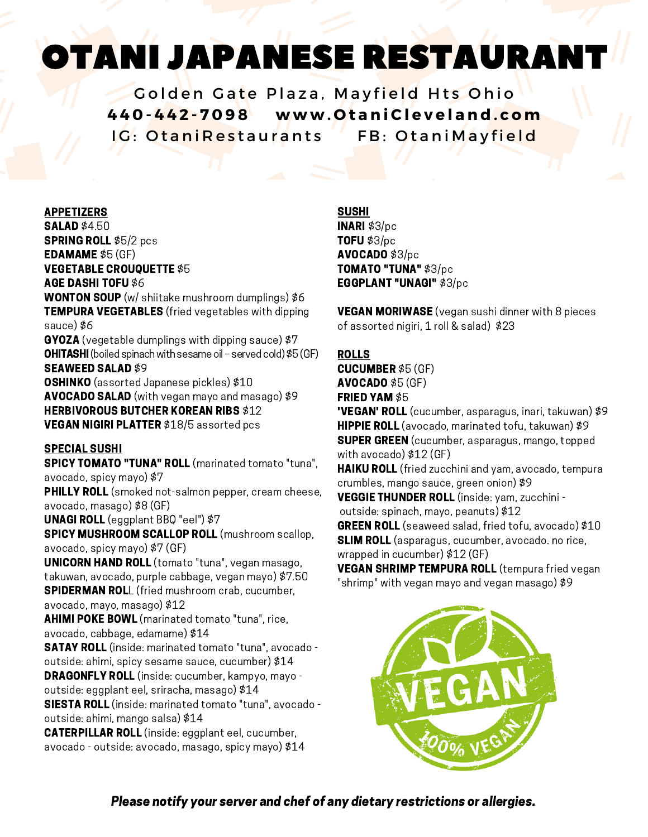# OTANI JAPANESE RESTAURANT

Golden Gate Plaza, Mayfield Hts Ohio 440-442-7098 www.OtaniCleveland.com IG: OtaniRestaurants FB: OtaniMayfield

#### APPETIZERS

**SALAD \$4.50** SPRING ROLL \$5/2 pcs EDAMAME \$5 (GF) VEGETABLE CROUQUETTE \$5 AGE DASHI TOFU \$6 WONTON SOUP (w/ shiitake mushroom dumplings) \$6 **TEMPURA VEGETABLES** (fried vegetables with dipping sauce) \$6 GYOZA (vegetable dumplings with dipping sauce) \$7 **OHITASHI** (boiled spinach with sesame oil – served cold) \$5 (GF) SEAWEED SALAD \$9 **OSHINKO** (assorted Japanese pickles) \$10 AVOCADO SALAD (with vegan mayo and masago) \$9 HERBIVOROUS BUTCHER KOREAN RIBS \$12

VEGAN NIGIRI PLATTER \$18/5 assorted pcs

#### SPECIAL SUSHI

SPICY TOMATO "TUNA" ROLL (marinated tomato "tuna", avocado, spicy mayo) \$7 PHILLY ROLL (smoked not-salmon pepper, cream cheese, avocado, masago) \$8 (GF) UNAGI ROLL (eggplant BBQ "eel") \$7 SPICY MUSHROOM SCALLOP ROLL (mushroom scallop,

avocado, spicy mayo) \$7 (GF)

UNICORN HAND ROLL (tomato "tuna", vegan masago, takuwan, avocado, purple cabbage, vegan mayo) \$7.50 **SPIDERMAN ROL**L (fried mushroom crab, cucumber, avocado, mayo, masago) \$12

AHIMI POKE BOWL (marinated tomato "tuna", rice, avocado, cabbage, edamame) \$14

SATAY ROLL (inside: marinated tomato "tuna", avocado outside: ahimi, spicy sesame sauce, cucumber) \$14

DRAGONFLY ROLL (inside: cucumber, kampyo, mayo outside: eggplant eel, sriracha, masago) \$14

SIESTA ROLL (inside: marinated tomato "tuna", avocado outside: ahimi, mango salsa) \$14

CATERPILLAR ROLL (inside: eggplant eel, cucumber, avocado - outside: avocado, masago, spicy mayo) \$14

#### SUSHI

INARI \$3/pc TOFU \$3/pc AVOCADO \$3/pc TOMATO "TUNA" \$3/pc EGGPLANT "UNAGI" \$3/pc

**VEGAN MORIWASE** (vegan sushi dinner with 8 pieces of assorted nigiri, 1 roll & salad) \$23

## ROLLS

CUCUMBER \$5 (GF) AVOCADO \$5 (GF) FRIED YAM \$5 **'VEGAN' ROLL** (cucumber, asparagus, inari, takuwan) \$9 HIPPIE ROLL (avocado, marinated tofu, takuwan) \$9 SUPER GREEN (cucumber, asparagus, mango, topped with avocado) \$12 (GF) **HAIKU ROLL** (fried zucchini and yam, avocado, tempura crumbles, mango sauce, green onion) \$9 VEGGIE THUNDER ROLL (inside: yam, zucchini outside: spinach, mayo, peanuts) \$12 **GREEN ROLL** (seaweed salad, fried tofu, avocado) \$10 **SLIM ROLL** (asparagus, cucumber, avocado, no rice, wrapped in cucumber) \$12 (GF) VEGAN SHRIMP TEMPURA ROLL (tempura fried vegan "shrimp" with vegan mayo and vegan masago) \$9

Please notify your server and chef of any dietary restrictions or allergies.